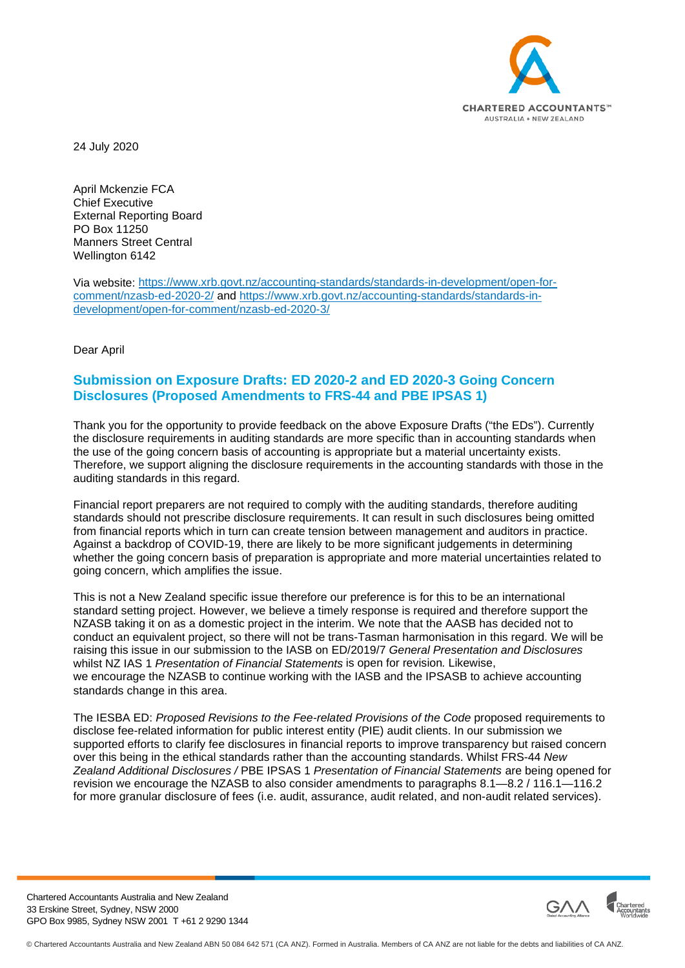

24 July 2020

April Mckenzie FCA Chief Executive External Reporting Board PO Box 11250 Manners Street Central Wellington 6142

Via website: [https://www.xrb.govt.nz/accounting-standards/standards-in-development/open-for](https://www.xrb.govt.nz/accounting-standards/standards-in-development/open-for-comment/nzasb-ed-2020-2/)[comment/nzasb-ed-2020-2/](https://www.xrb.govt.nz/accounting-standards/standards-in-development/open-for-comment/nzasb-ed-2020-2/) and [https://www.xrb.govt.nz/accounting-standards/standards-in](https://www.xrb.govt.nz/accounting-standards/standards-in-development/open-for-comment/nzasb-ed-2020-3/)[development/open-for-comment/nzasb-ed-2020-3/](https://www.xrb.govt.nz/accounting-standards/standards-in-development/open-for-comment/nzasb-ed-2020-3/)

Dear April

#### **Submission on Exposure Drafts: ED 2020-2 and ED 2020-3 Going Concern Disclosures (Proposed Amendments to FRS-44 and PBE IPSAS 1)**

Thank you for the opportunity to provide feedback on the above Exposure Drafts ("the EDs"). Currently the disclosure requirements in auditing standards are more specific than in accounting standards when the use of the going concern basis of accounting is appropriate but a material uncertainty exists. Therefore, we support aligning the disclosure requirements in the accounting standards with those in the auditing standards in this regard.

Financial report preparers are not required to comply with the auditing standards, therefore auditing standards should not prescribe disclosure requirements. It can result in such disclosures being omitted from financial reports which in turn can create tension between management and auditors in practice. Against a backdrop of COVID-19, there are likely to be more significant judgements in determining whether the going concern basis of preparation is appropriate and more material uncertainties related to going concern, which amplifies the issue.

This is not a New Zealand specific issue therefore our preference is for this to be an international standard setting project. However, we believe a timely response is required and therefore support the NZASB taking it on as a domestic project in the interim. We note that the AASB has decided not to conduct an equivalent project, so there will not be trans-Tasman harmonisation in this regard. We will be raising this issue in our submission to the IASB on ED/2019/7 *General Presentation and Disclosures*  whilst NZ IAS 1 *Presentation of Financial Statements* is open for revision*.* Likewise, we encourage the NZASB to continue working with the IASB and the IPSASB to achieve accounting standards change in this area.

The IESBA ED: *Proposed Revisions to the Fee-related Provisions of the Code* proposed requirements to disclose fee-related information for public interest entity (PIE) audit clients. In our submission we supported efforts to clarify fee disclosures in financial reports to improve transparency but raised concern over this being in the ethical standards rather than the accounting standards. Whilst FRS-44 *New Zealand Additional Disclosures /* PBE IPSAS 1 *Presentation of Financial Statements* are being opened for revision we encourage the NZASB to also consider amendments to paragraphs 8.1—8.2 / 116.1—116.2 for more granular disclosure of fees (i.e. audit, assurance, audit related, and non-audit related services).

Chartered Accountants Australia and New Zealand 33 Erskine Street, Sydney, NSW 2000 GPO Box 9985, Sydney NSW 2001 T +61 2 9290 1344

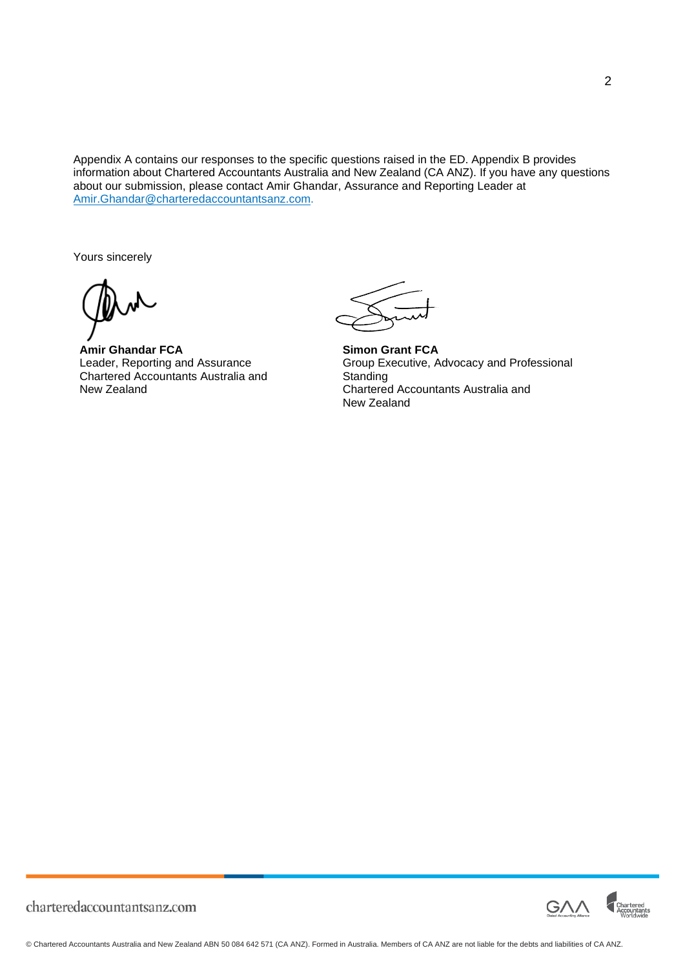Appendix A contains our responses to the specific questions raised in the ED. Appendix B provides information about Chartered Accountants Australia and New Zealand (CA ANZ). If you have any questions about our submission, please contact Amir Ghandar, Assurance and Reporting Leader at [Amir.Ghandar@charteredaccountantsanz.com.](mailto:Amir.Ghandar@charteredaccountantsanz.com)

Yours sincerely

**Amir Ghandar FCA** Leader, Reporting and Assurance Chartered Accountants Australia and New Zealand

**Simon Grant FCA** Group Executive, Advocacy and Professional **Standing** Chartered Accountants Australia and New Zealand



charteredaccountantsanz.com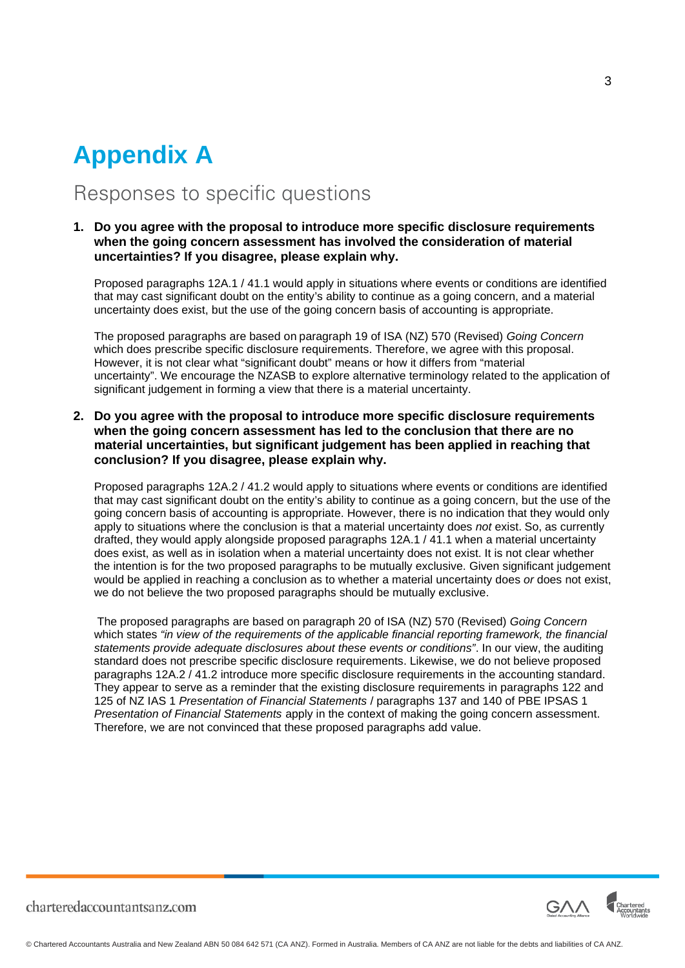## **Appendix A**

### Responses to specific questions

#### **1. Do you agree with the proposal to introduce more specific disclosure requirements when the going concern assessment has involved the consideration of material uncertainties? If you disagree, please explain why.**

Proposed paragraphs 12A.1 / 41.1 would apply in situations where events or conditions are identified that may cast significant doubt on the entity's ability to continue as a going concern, and a material uncertainty does exist, but the use of the going concern basis of accounting is appropriate.

The proposed paragraphs are based on paragraph 19 of ISA (NZ) 570 (Revised) *Going Concern* which does prescribe specific disclosure requirements. Therefore, we agree with this proposal. However, it is not clear what "significant doubt" means or how it differs from "material uncertainty". We encourage the NZASB to explore alternative terminology related to the application of significant judgement in forming a view that there is a material uncertainty.

**2. Do you agree with the proposal to introduce more specific disclosure requirements when the going concern assessment has led to the conclusion that there are no material uncertainties, but significant judgement has been applied in reaching that conclusion? If you disagree, please explain why.**

Proposed paragraphs 12A.2 / 41.2 would apply to situations where events or conditions are identified that may cast significant doubt on the entity's ability to continue as a going concern, but the use of the going concern basis of accounting is appropriate. However, there is no indication that they would only apply to situations where the conclusion is that a material uncertainty does *not* exist. So, as currently drafted, they would apply alongside proposed paragraphs 12A.1 / 41.1 when a material uncertainty does exist, as well as in isolation when a material uncertainty does not exist. It is not clear whether the intention is for the two proposed paragraphs to be mutually exclusive. Given significant judgement would be applied in reaching a conclusion as to whether a material uncertainty does *or* does not exist, we do not believe the two proposed paragraphs should be mutually exclusive.

The proposed paragraphs are based on paragraph 20 of ISA (NZ) 570 (Revised) *Going Concern* which states *"in view of the requirements of the applicable financial reporting framework, the financial statements provide adequate disclosures about these events or conditions"*. In our view, the auditing standard does not prescribe specific disclosure requirements. Likewise, we do not believe proposed paragraphs 12A.2 / 41.2 introduce more specific disclosure requirements in the accounting standard. They appear to serve as a reminder that the existing disclosure requirements in paragraphs 122 and 125 of NZ IAS 1 *Presentation of Financial Statements* / paragraphs 137 and 140 of PBE IPSAS 1 *Presentation of Financial Statements* apply in the context of making the going concern assessment. Therefore, we are not convinced that these proposed paragraphs add value.



charteredaccountantsanz.com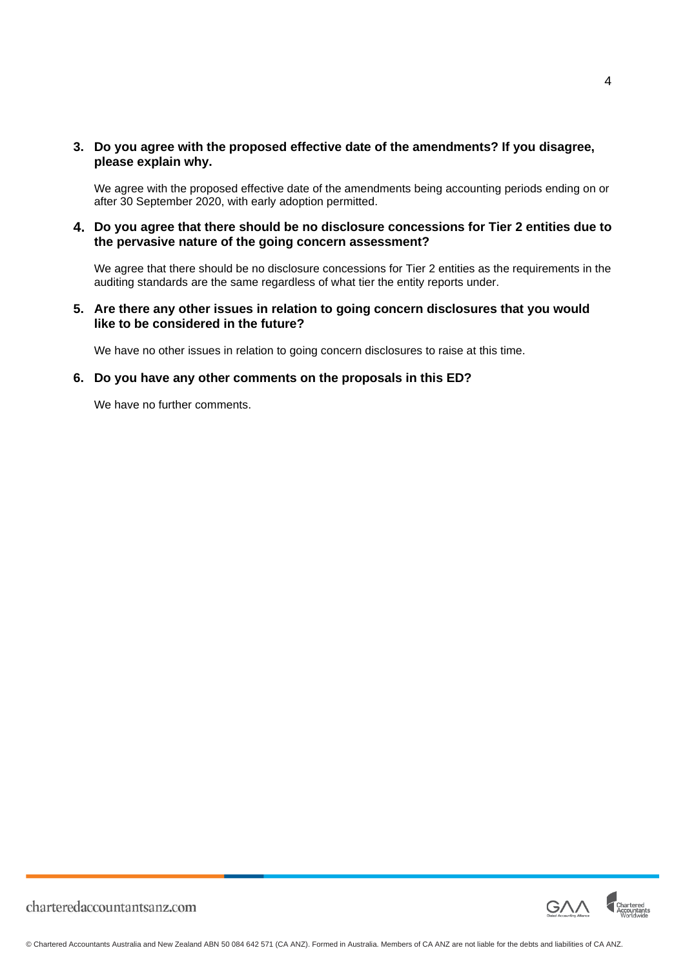**3. Do you agree with the proposed effective date of the amendments? If you disagree, please explain why.**

We agree with the proposed effective date of the amendments being accounting periods ending on or after 30 September 2020, with early adoption permitted.

**4. Do you agree that there should be no disclosure concessions for Tier 2 entities due to the pervasive nature of the going concern assessment?**

We agree that there should be no disclosure concessions for Tier 2 entities as the requirements in the auditing standards are the same regardless of what tier the entity reports under.

**5. Are there any other issues in relation to going concern disclosures that you would like to be considered in the future?**

We have no other issues in relation to going concern disclosures to raise at this time.

#### **6. Do you have any other comments on the proposals in this ED?**

We have no further comments.